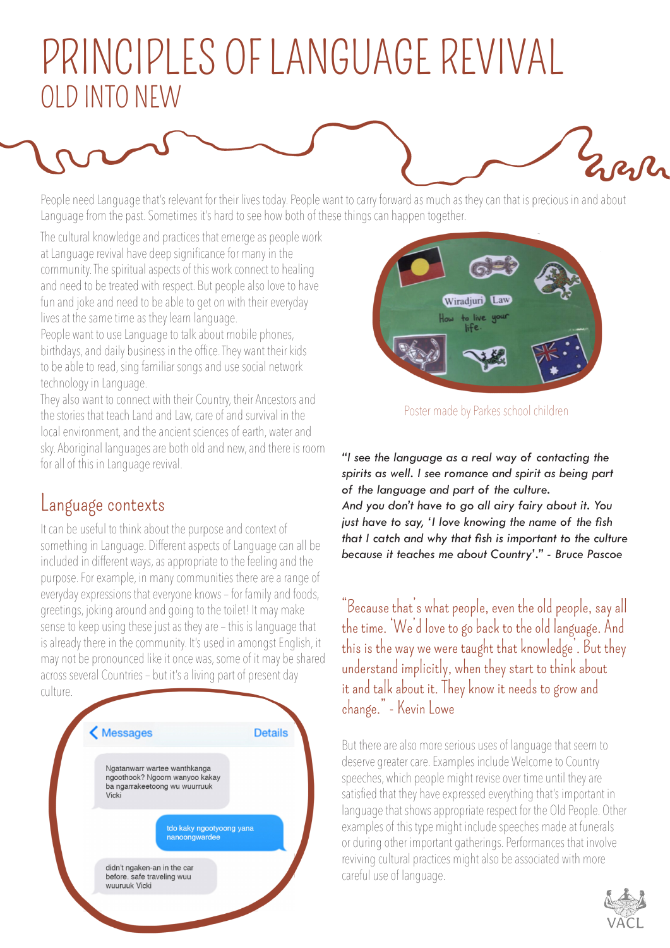## PRINCIPLES OF LANGUAGE REVIVAL OLD INTO NEW

People need Language that's relevant for their lives today. People want to carry forward as much as they can that is precious in and about Language from the past. Sometimes it's hard to see how both of these things can happen together.

The cultural knowledge and practices that emerge as people work at Language revival have deep significance for many in the community. The spiritual aspects of this work connect to healing and need to be treated with respect. But people also love to have fun and joke and need to be able to get on with their everyday lives at the same time as they learn language.

People want to use Language to talk about mobile phones, birthdays, and daily business in the office. They want their kids to be able to read, sing familiar songs and use social network technology in Language.

They also want to connect with their Country, their Ancestors and the stories that teach Land and Law, care of and survival in the local environment, and the ancient sciences of earth, water and sky. Aboriginal languages are both old and new, and there is room for all of this in Languages are boarded and new, and ancreas result **"I see the language as a real way of contacting the** for all of this in Language revival.

## Language contexts

It can be useful to think about the purpose and context of something in Language. Different aspects of Language can all be included in different ways, as appropriate to the feeling and the purpose. For example, in many communities there are a range of everyday expressions that everyone knows – for family and foods, greetings, joking around and going to the toilet! It may make sense to keep using these just as they are – this is language that is already there in the community. It's used in amongst English, it may not be pronounced like it once was, some of it may be shared across several Countries – but it's a living part of present day culture.





Poster made by Parkes school children

*spirits as well. I see romance and spirit as being part of the language and part of the culture. And you don't have to go all airy fairy about it. You just have to say, 'I love knowing the name of the fish that I catch and why that fish is important to the culture because it teaches me about Country'." - Bruce Pascoe*

"Because that's what people, even the old people, say all the time. 'We'd love to go back to the old language. And this is the way we were taught that knowledge'. But they understand implicitly, when they start to think about it and talk about it. They know it needs to grow and change." - Kevin Lowe

But there are also more serious uses of language that seem to deserve greater care. Examples include Welcome to Country speeches, which people might revise over time until they are satisfied that they have expressed everything that's important in language that shows appropriate respect for the Old People. Other examples of this type might include speeches made at funerals or during other important gatherings. Performances that involve reviving cultural practices might also be associated with more careful use of language.



Everly